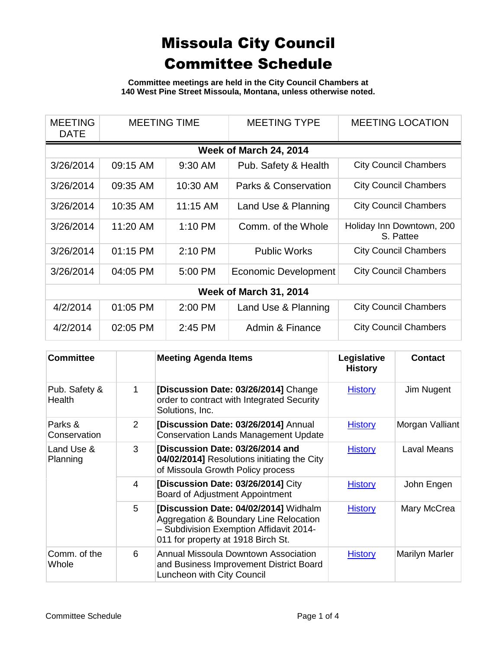**Committee meetings are held in the City Council Chambers at 140 West Pine Street Missoula, Montana, unless otherwise noted.**

| <b>MEETING</b><br><b>DATE</b> | <b>MEETING TIME</b> |            | <b>MEETING TYPE</b>             | <b>MEETING LOCATION</b>                |  |  |
|-------------------------------|---------------------|------------|---------------------------------|----------------------------------------|--|--|
|                               |                     |            | Week of March 24, 2014          |                                        |  |  |
| 3/26/2014                     | 09:15 AM            | 9:30 AM    | Pub. Safety & Health            | <b>City Council Chambers</b>           |  |  |
| 3/26/2014                     | 09:35 AM            | 10:30 AM   | <b>Parks &amp; Conservation</b> | <b>City Council Chambers</b>           |  |  |
| 3/26/2014                     | 10:35 AM            | $11:15$ AM | Land Use & Planning             | <b>City Council Chambers</b>           |  |  |
| 3/26/2014                     | 11:20 AM            | $1:10$ PM  | Comm. of the Whole              | Holiday Inn Downtown, 200<br>S. Pattee |  |  |
| 3/26/2014                     | $01:15$ PM          | $2:10$ PM  | <b>Public Works</b>             | <b>City Council Chambers</b>           |  |  |
| 3/26/2014                     | 04:05 PM            | 5:00 PM    | Economic Development            | <b>City Council Chambers</b>           |  |  |
| <b>Week of March 31, 2014</b> |                     |            |                                 |                                        |  |  |
| 4/2/2014                      | 01:05 PM            | 2:00 PM    | Land Use & Planning             | <b>City Council Chambers</b>           |  |  |
| 4/2/2014                      | 02:05 PM            | 2:45 PM    | Admin & Finance                 | <b>City Council Chambers</b>           |  |  |

| <b>Committee</b>               |   | <b>Meeting Agenda Items</b>                                                                                                                                      | Legislative<br><b>History</b> | <b>Contact</b>     |
|--------------------------------|---|------------------------------------------------------------------------------------------------------------------------------------------------------------------|-------------------------------|--------------------|
| Pub. Safety &<br><b>Health</b> | 1 | [Discussion Date: 03/26/2014] Change<br>order to contract with Integrated Security<br>Solutions, Inc.                                                            | <b>History</b>                | Jim Nugent         |
| Parks &<br>Conservation        | 2 | [Discussion Date: 03/26/2014] Annual<br><b>Conservation Lands Management Update</b>                                                                              | <b>History</b>                | Morgan Valliant    |
| Land Use &<br>Planning         | 3 | [Discussion Date: 03/26/2014 and<br>04/02/2014] Resolutions initiating the City<br>of Missoula Growth Policy process                                             | <b>History</b>                | <b>Laval Means</b> |
|                                | 4 | [Discussion Date: 03/26/2014] City<br>Board of Adjustment Appointment                                                                                            | <b>History</b>                | John Engen         |
|                                | 5 | [Discussion Date: 04/02/2014] Widhalm<br>Aggregation & Boundary Line Relocation<br>- Subdivision Exemption Affidavit 2014-<br>011 for property at 1918 Birch St. | <b>History</b>                | Mary McCrea        |
| Comm. of the<br>Whole          | 6 | <b>Annual Missoula Downtown Association</b><br>and Business Improvement District Board<br>Luncheon with City Council                                             | <b>History</b>                | Marilyn Marler     |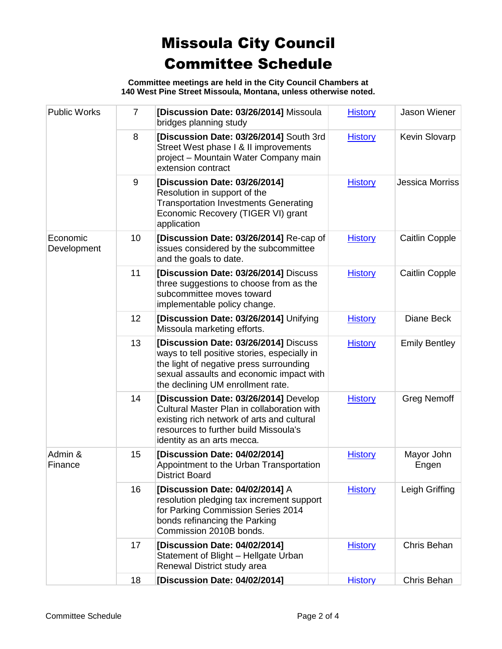**Committee meetings are held in the City Council Chambers at 140 West Pine Street Missoula, Montana, unless otherwise noted.**

| <b>Public Works</b>     | $\overline{7}$ | [Discussion Date: 03/26/2014] Missoula<br>bridges planning study                                                                                                                                                  | <b>History</b> | Jason Wiener           |
|-------------------------|----------------|-------------------------------------------------------------------------------------------------------------------------------------------------------------------------------------------------------------------|----------------|------------------------|
|                         | 8              | [Discussion Date: 03/26/2014] South 3rd<br>Street West phase I & II improvements<br>project - Mountain Water Company main<br>extension contract                                                                   | <b>History</b> | Kevin Slovarp          |
|                         | 9              | [Discussion Date: 03/26/2014]<br>Resolution in support of the<br><b>Transportation Investments Generating</b><br>Economic Recovery (TIGER VI) grant<br>application                                                | <b>History</b> | <b>Jessica Morriss</b> |
| Economic<br>Development | 10             | [Discussion Date: 03/26/2014] Re-cap of<br>issues considered by the subcommittee<br>and the goals to date.                                                                                                        | <b>History</b> | <b>Caitlin Copple</b>  |
|                         | 11             | [Discussion Date: 03/26/2014] Discuss<br>three suggestions to choose from as the<br>subcommittee moves toward<br>implementable policy change.                                                                     | <b>History</b> | Caitlin Copple         |
|                         | 12             | [Discussion Date: 03/26/2014] Unifying<br>Missoula marketing efforts.                                                                                                                                             | <b>History</b> | Diane Beck             |
|                         | 13             | [Discussion Date: 03/26/2014] Discuss<br>ways to tell positive stories, especially in<br>the light of negative press surrounding<br>sexual assaults and economic impact with<br>the declining UM enrollment rate. | <b>History</b> | <b>Emily Bentley</b>   |
|                         | 14             | [Discussion Date: 03/26/2014] Develop<br>Cultural Master Plan in collaboration with<br>existing rich network of arts and cultural<br>resources to further build Missoula's<br>identity as an arts mecca.          | <b>History</b> | <b>Greg Nemoff</b>     |
| Admin &<br>Finance      | 15             | [Discussion Date: 04/02/2014]<br>Appointment to the Urban Transportation<br><b>District Board</b>                                                                                                                 | <b>History</b> | Mayor John<br>Engen    |
|                         | 16             | [Discussion Date: 04/02/2014] A<br>resolution pledging tax increment support<br>for Parking Commission Series 2014<br>bonds refinancing the Parking<br>Commission 2010B bonds.                                    | <b>History</b> | Leigh Griffing         |
|                         | 17             | [Discussion Date: 04/02/2014]<br>Statement of Blight - Hellgate Urban<br>Renewal District study area                                                                                                              | <b>History</b> | Chris Behan            |
|                         | 18             | [Discussion Date: 04/02/2014]                                                                                                                                                                                     | <b>History</b> | Chris Behan            |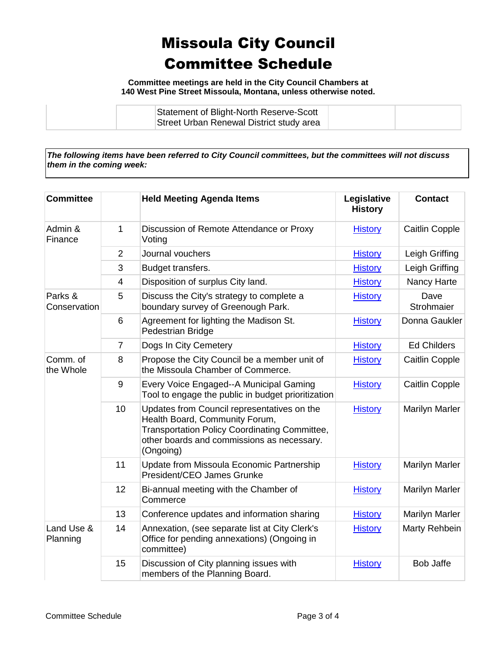**Committee meetings are held in the City Council Chambers at 140 West Pine Street Missoula, Montana, unless otherwise noted.**

| Statement of Blight-North Reserve-Scott  |  |
|------------------------------------------|--|
| Street Urban Renewal District study area |  |

*The following items have been referred to City Council committees, but the committees will not discuss them in the coming week:*

| <b>Committee</b>        |                | <b>Held Meeting Agenda Items</b>                                                                                                                                                                 | Legislative<br><b>History</b> | <b>Contact</b>        |
|-------------------------|----------------|--------------------------------------------------------------------------------------------------------------------------------------------------------------------------------------------------|-------------------------------|-----------------------|
| Admin &<br>Finance      | 1              | Discussion of Remote Attendance or Proxy<br>Voting                                                                                                                                               | <b>History</b>                | <b>Caitlin Copple</b> |
|                         | 2              | Journal vouchers                                                                                                                                                                                 | <b>History</b>                | Leigh Griffing        |
|                         | 3              | Budget transfers.                                                                                                                                                                                | <b>History</b>                | Leigh Griffing        |
|                         | $\overline{4}$ | Disposition of surplus City land.                                                                                                                                                                | <b>History</b>                | Nancy Harte           |
| Parks &<br>Conservation | 5              | Discuss the City's strategy to complete a<br>boundary survey of Greenough Park.                                                                                                                  | <b>History</b>                | Dave<br>Strohmaier    |
|                         | 6              | Agreement for lighting the Madison St.<br>Pedestrian Bridge                                                                                                                                      | <b>History</b>                | Donna Gaukler         |
|                         | $\overline{7}$ | Dogs In City Cemetery                                                                                                                                                                            | <b>History</b>                | <b>Ed Childers</b>    |
| Comm. of<br>the Whole   | 8              | Propose the City Council be a member unit of<br>the Missoula Chamber of Commerce.                                                                                                                | <b>History</b>                | Caitlin Copple        |
|                         | 9              | Every Voice Engaged--A Municipal Gaming<br>Tool to engage the public in budget prioritization                                                                                                    | <b>History</b>                | <b>Caitlin Copple</b> |
|                         | 10             | Updates from Council representatives on the<br>Health Board, Community Forum,<br><b>Transportation Policy Coordinating Committee,</b><br>other boards and commissions as necessary.<br>(Ongoing) | <b>History</b>                | <b>Marilyn Marler</b> |
|                         | 11             | Update from Missoula Economic Partnership<br>President/CEO James Grunke                                                                                                                          | <b>History</b>                | <b>Marilyn Marler</b> |
|                         | 12             | Bi-annual meeting with the Chamber of<br>Commerce                                                                                                                                                | <b>History</b>                | <b>Marilyn Marler</b> |
|                         | 13             | Conference updates and information sharing                                                                                                                                                       | <b>History</b>                | <b>Marilyn Marler</b> |
| Land Use &<br>Planning  | 14             | Annexation, (see separate list at City Clerk's<br>Office for pending annexations) (Ongoing in<br>committee)                                                                                      | <b>History</b>                | Marty Rehbein         |
|                         | 15             | Discussion of City planning issues with<br>members of the Planning Board.                                                                                                                        | <b>History</b>                | <b>Bob Jaffe</b>      |